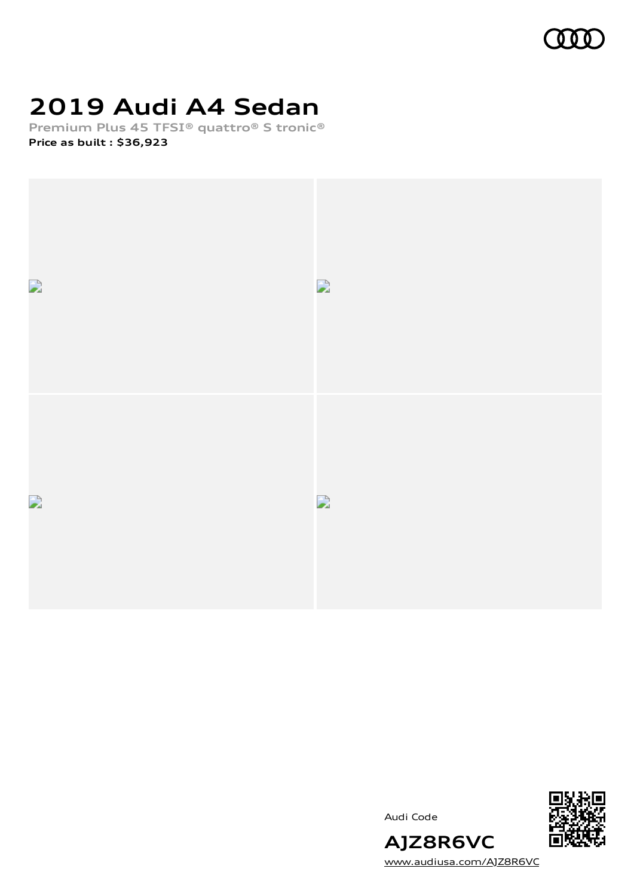

## **2019 Audi A4 Sedan**

**Premium Plus 45 TFSI® quattro® S tronic® Price as built [:](#page-8-0) \$36,923**



Audi Code



[www.audiusa.com/AJZ8R6VC](https://www.audiusa.com/AJZ8R6VC)

**AJZ8R6VC**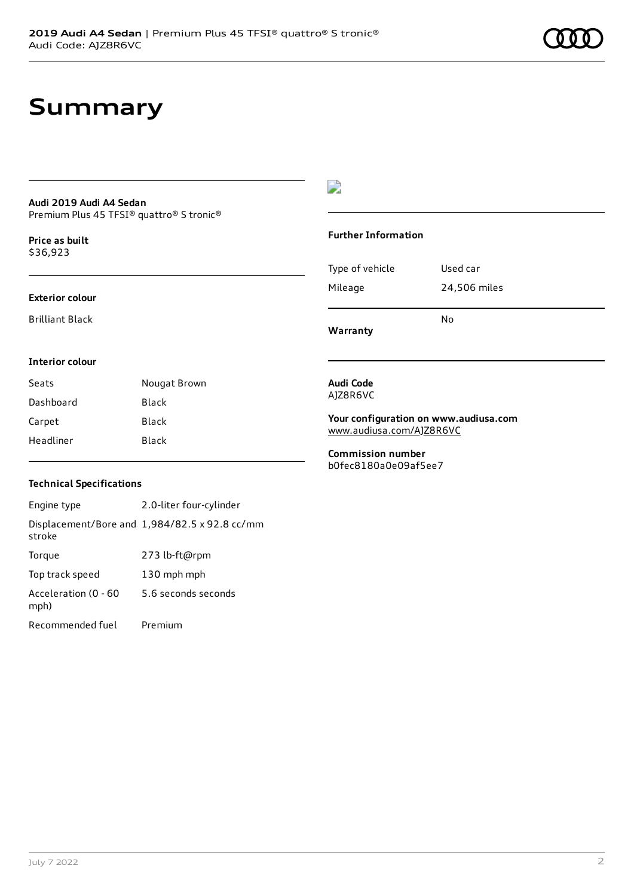## **Summary**

### **Audi 2019 Audi A4 Sedan** Premium Plus 45 TFSI® quattro® S tronic®

**Price as buil[t](#page-8-0)** \$36,923

### **Exterior colour**

Brilliant Black

### D

### **Further Information**

|                 | N٥           |
|-----------------|--------------|
| Mileage         | 24,506 miles |
| Type of vehicle | Used car     |

**Warranty**

### **Interior colour**

| Seats     | Nougat Brown |
|-----------|--------------|
| Dashboard | Black        |
| Carpet    | Black        |
| Headliner | Black        |

### **Audi Code** AJZ8R6VC

**Your configuration on www.audiusa.com** [www.audiusa.com/AJZ8R6VC](https://www.audiusa.com/AJZ8R6VC)

**Commission number** b0fec8180a0e09af5ee7

### **Technical Specifications**

Engine type 2.0-liter four-cylinder Displacement/Bore and 1,984/82.5 x 92.8 cc/mm stroke Torque 273 lb-ft@rpm Top track speed 130 mph mph Acceleration (0 - 60 mph) 5.6 seconds seconds Recommended fuel Premium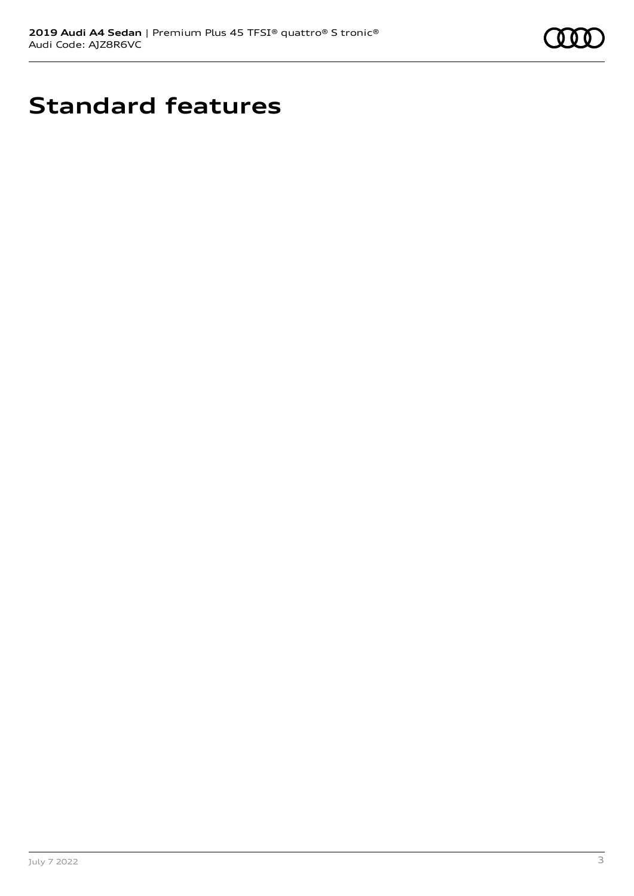

## **Standard features**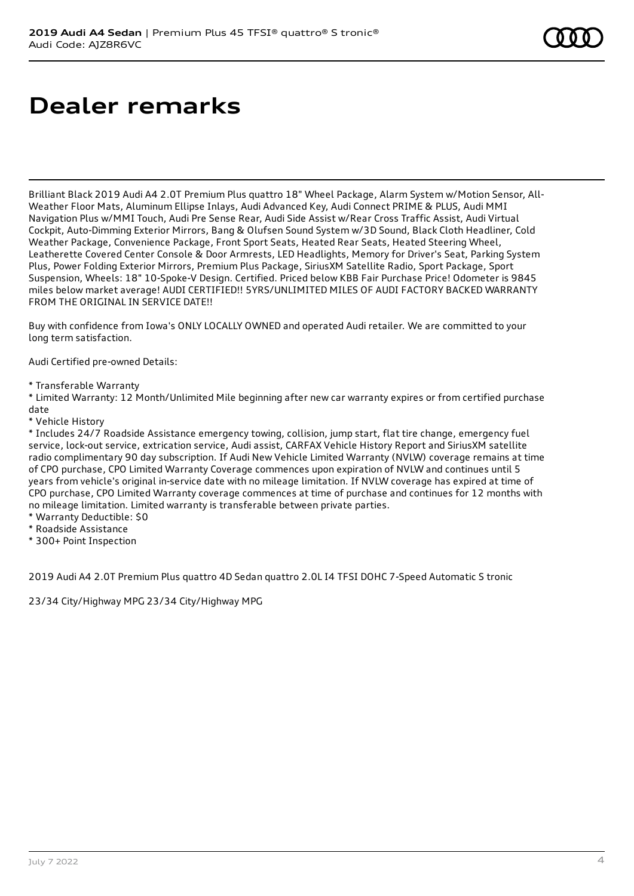## **Dealer remarks**

Brilliant Black 2019 Audi A4 2.0T Premium Plus quattro 18" Wheel Package, Alarm System w/Motion Sensor, All-Weather Floor Mats, Aluminum Ellipse Inlays, Audi Advanced Key, Audi Connect PRIME & PLUS, Audi MMI Navigation Plus w/MMI Touch, Audi Pre Sense Rear, Audi Side Assist w/Rear Cross Traffic Assist, Audi Virtual Cockpit, Auto-Dimming Exterior Mirrors, Bang & Olufsen Sound System w/3D Sound, Black Cloth Headliner, Cold Weather Package, Convenience Package, Front Sport Seats, Heated Rear Seats, Heated Steering Wheel, Leatherette Covered Center Console & Door Armrests, LED Headlights, Memory for Driver's Seat, Parking System Plus, Power Folding Exterior Mirrors, Premium Plus Package, SiriusXM Satellite Radio, Sport Package, Sport Suspension, Wheels: 18" 10-Spoke-V Design. Certified. Priced below KBB Fair Purchase Price! Odometer is 9845 miles below market average! AUDI CERTIFIED!! 5YRS/UNLIMITED MILES OF AUDI FACTORY BACKED WARRANTY FROM THE ORIGINAL IN SERVICE DATE!!

Buy with confidence from Iowa's ONLY LOCALLY OWNED and operated Audi retailer. We are committed to your long term satisfaction.

Audi Certified pre-owned Details:

\* Transferable Warranty

\* Limited Warranty: 12 Month/Unlimited Mile beginning after new car warranty expires or from certified purchase date

\* Vehicle History

\* Includes 24/7 Roadside Assistance emergency towing, collision, jump start, flat tire change, emergency fuel service, lock-out service, extrication service, Audi assist, CARFAX Vehicle History Report and SiriusXM satellite radio complimentary 90 day subscription. If Audi New Vehicle Limited Warranty (NVLW) coverage remains at time of CPO purchase, CPO Limited Warranty Coverage commences upon expiration of NVLW and continues until 5 years from vehicle's original in-service date with no mileage limitation. If NVLW coverage has expired at time of CPO purchase, CPO Limited Warranty coverage commences at time of purchase and continues for 12 months with no mileage limitation. Limited warranty is transferable between private parties.

- \* Warranty Deductible: \$0
- \* Roadside Assistance
- \* 300+ Point Inspection

2019 Audi A4 2.0T Premium Plus quattro 4D Sedan quattro 2.0L I4 TFSI DOHC 7-Speed Automatic S tronic

23/34 City/Highway MPG 23/34 City/Highway MPG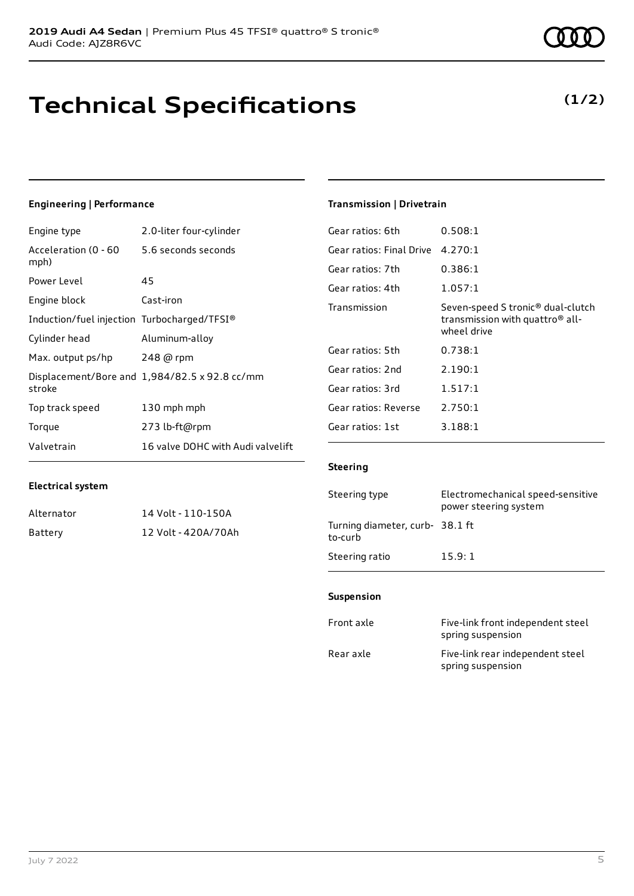## **Technical Specifications**

July 7 2022 5

## **Engineering | Performance**

**Electrical system**

Engine type 2.0-liter four-cylinder

Alternator 14 Volt - 110-150A Battery 12 Volt - 420A/70Ah

| Acceleration (0 - 60<br>mph)                | 5.6 seconds seconds                           |
|---------------------------------------------|-----------------------------------------------|
| Power Level                                 | 45                                            |
| Engine block                                | Cast-iron                                     |
| Induction/fuel injection Turbocharged/TFSI® |                                               |
| Cylinder head                               | Aluminum-alloy                                |
| Max. output ps/hp                           | 248 @ rpm                                     |
| stroke                                      | Displacement/Bore and 1,984/82.5 x 92.8 cc/mm |
| Top track speed                             | 130 mph mph                                   |
| Torque                                      | 273 lb-ft@rpm                                 |
| Valvetrain                                  | 16 valve DOHC with Audi valvelift             |

### **Transmission | Drivetrain**

| Gear ratios: 6th         | 0.508:1                                                                                                     |
|--------------------------|-------------------------------------------------------------------------------------------------------------|
| Gear ratios: Final Drive | 4.270:1                                                                                                     |
| Gear ratios: 7th         | 0.386:1                                                                                                     |
| Gear ratios: 4th         | 1.057:1                                                                                                     |
| Transmission             | Seven-speed S tronic <sup>®</sup> dual-clutch<br>transmission with quattro <sup>®</sup> all-<br>wheel drive |
| Gear ratios: 5th         | 0.738:1                                                                                                     |
| Gear ratios: 2nd         | 2.190:1                                                                                                     |
| Gear ratios: 3rd         | 1.517:1                                                                                                     |
| Gear ratios: Reverse     | 2.750:1                                                                                                     |
| Gear ratios: 1st         | 3.188:1                                                                                                     |

### **Steering**

| Steering type                             | Electromechanical speed-sensitive<br>power steering system |
|-------------------------------------------|------------------------------------------------------------|
| Turning diameter, curb-38.1 ft<br>to-curb |                                                            |
| Steering ratio                            | 15.9:1                                                     |

### **Suspension**

| Front axle | Five-link front independent steel<br>spring suspension |
|------------|--------------------------------------------------------|
| Rear axle  | Five-link rear independent steel<br>spring suspension  |

### **(1/2)**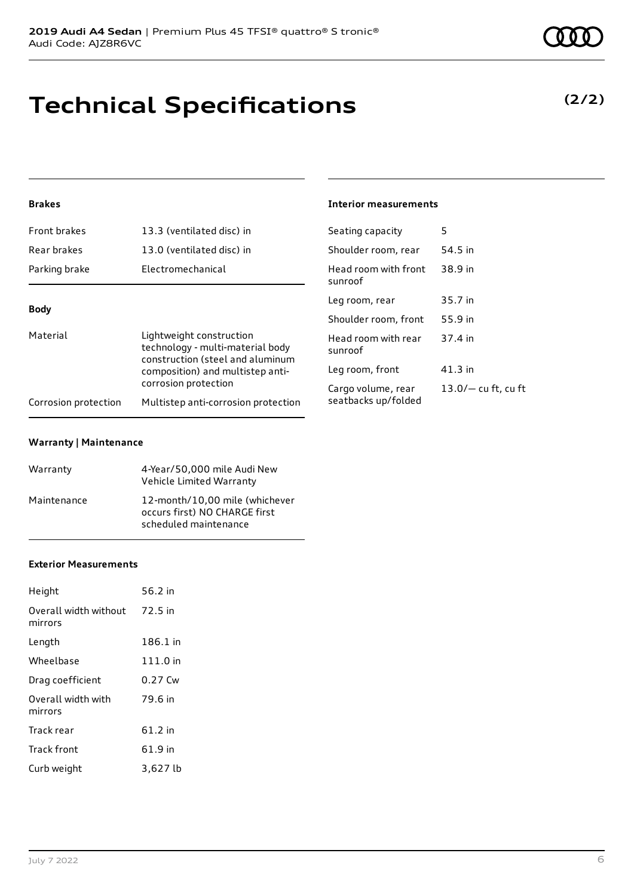## **Technical Specifications**

### **Brakes**

| Front brakes                                                                                                                                                                                                                            | 13.3 (ventilated disc) in                 | Seating capacity                | 5         |
|-----------------------------------------------------------------------------------------------------------------------------------------------------------------------------------------------------------------------------------------|-------------------------------------------|---------------------------------|-----------|
| Rear brakes                                                                                                                                                                                                                             | 13.0 (ventilated disc) in                 | Shoulder room, rear             | 54.5 in   |
| Parking brake                                                                                                                                                                                                                           | Electromechanical                         | Head room with front<br>sunroof | 38.9 in   |
|                                                                                                                                                                                                                                         |                                           | Leg room, rear                  | 35.7 in   |
| <b>Body</b>                                                                                                                                                                                                                             |                                           | Shoulder room, front            | 55.9 in   |
| Material<br>Lightweight construction<br>technology - multi-material body<br>construction (steel and aluminum<br>composition) and multistep anti-<br>corrosion protection<br>Multistep anti-corrosion protection<br>Corrosion protection | Head room with rear<br>sunroof            | 37.4 in                         |           |
|                                                                                                                                                                                                                                         |                                           | Leg room, front                 | $41.3$ in |
|                                                                                                                                                                                                                                         | Cargo volume, rear<br>seatbacks up/folded | $13.0/-$ cu ft, cu ft           |           |
|                                                                                                                                                                                                                                         |                                           |                                 |           |

**Interior measurements**

### **Warranty | Maintenance**

| Warranty    | 4-Year/50,000 mile Audi New<br>Vehicle Limited Warranty                                  |
|-------------|------------------------------------------------------------------------------------------|
| Maintenance | 12-month/10.00 mile (whichever<br>occurs first) NO CHARGE first<br>scheduled maintenance |

### **Exterior Measurements**

| Height                           | 56.2 in   |
|----------------------------------|-----------|
| Overall width without<br>mirrors | 72.5 in   |
| Length                           | 186.1 in  |
| Wheelbase                        | 111.0 in  |
| Drag coefficient                 | $0.27$ Cw |
| Overall width with<br>mirrors    | 79.6 in   |
| Track rear                       | $61.2$ in |
| Track front                      | 61.9 in   |
| Curb weight                      | 3,627 lb  |

**(2/2)**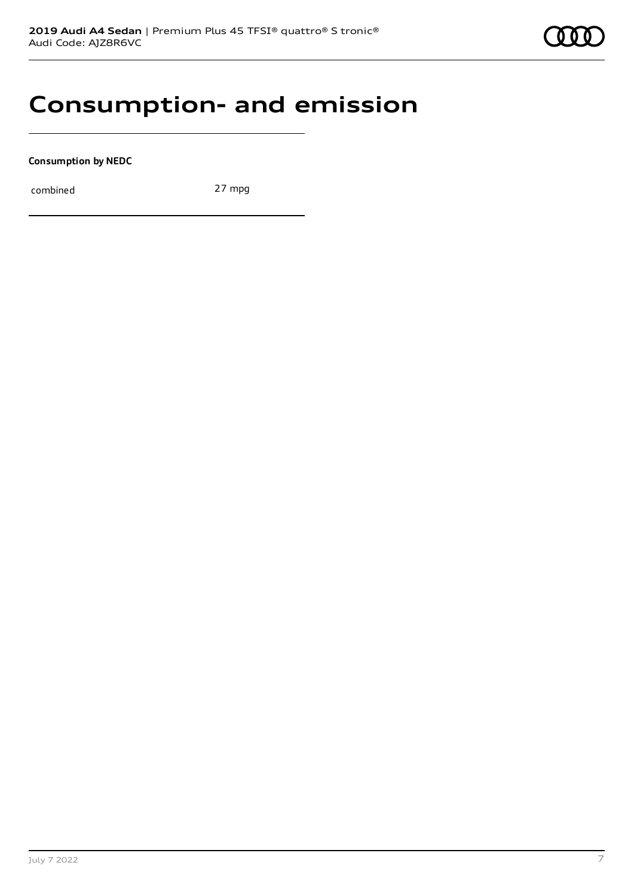## **Consumption- and emission**

**Consumption by NEDC**

combined 27 mpg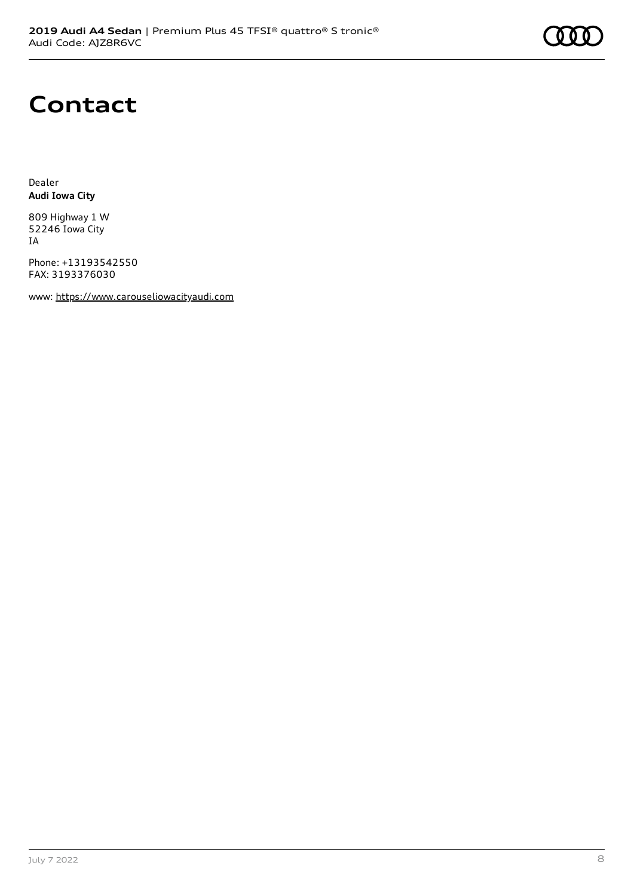## **Contact**

Dealer **Audi Iowa City**

809 Highway 1 W 52246 Iowa City IA

Phone: +13193542550 FAX: 3193376030

www: [https://www.carouseliowacityaudi.com](https://www.carouseliowacityaudi.com/)